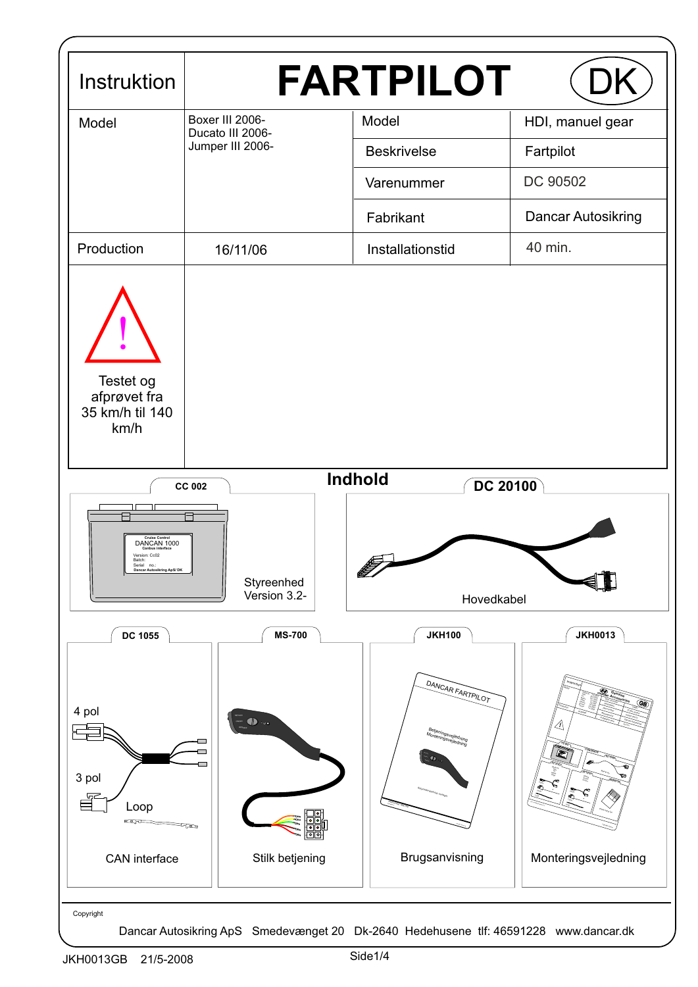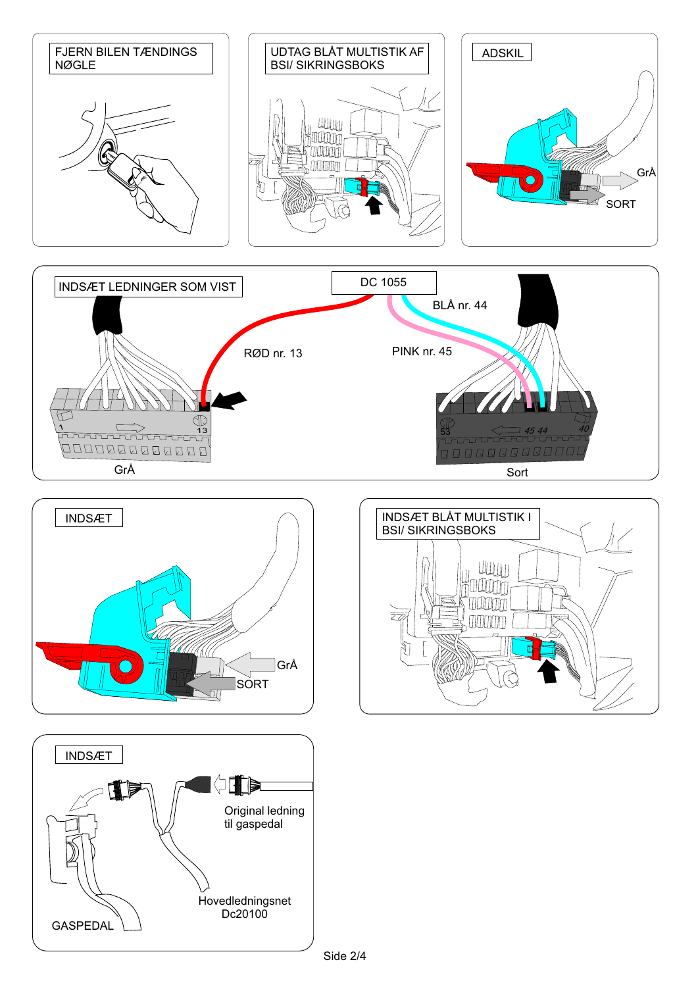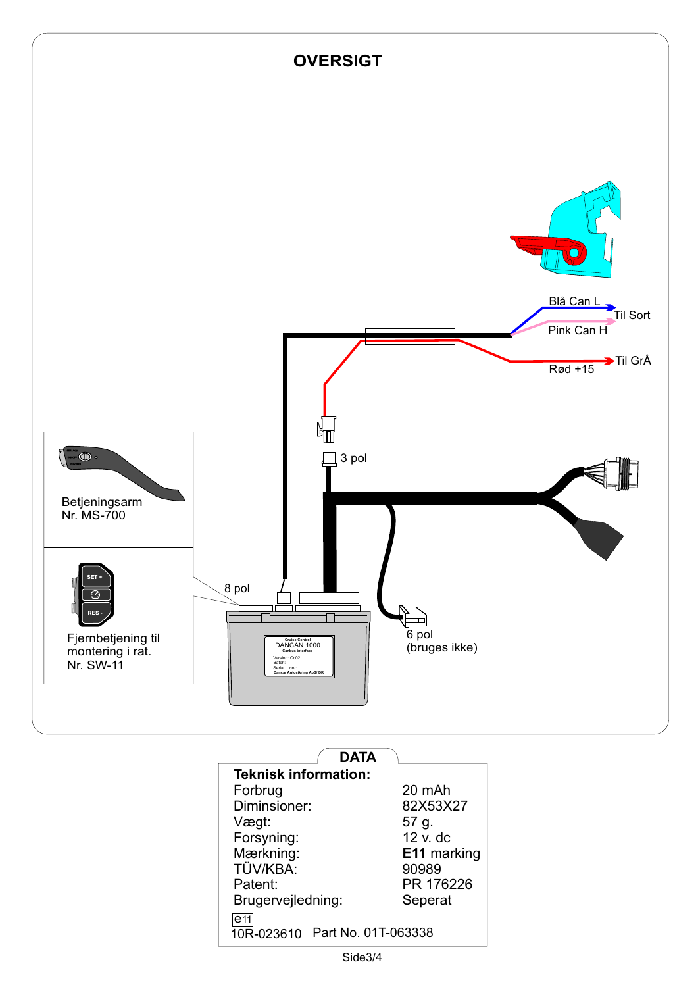

| <b>Teknisk information:</b>    |                    |
|--------------------------------|--------------------|
| Forbrug                        | 20 mAh             |
| Diminsioner:                   | 82X53X27           |
| Vægt:                          | 57 g.              |
| Forsyning:                     | $12 v$ , dc        |
| Mærkning:                      | <b>E11</b> marking |
| TÜV/KBA:                       | 90989              |
| Patent:                        | PR 176226          |
| Brugervejledning:              | Seperat            |
| e <sub>11</sub>                |                    |
| 10R-023610 Part No. 01T-063338 |                    |
|                                |                    |

Side3/4